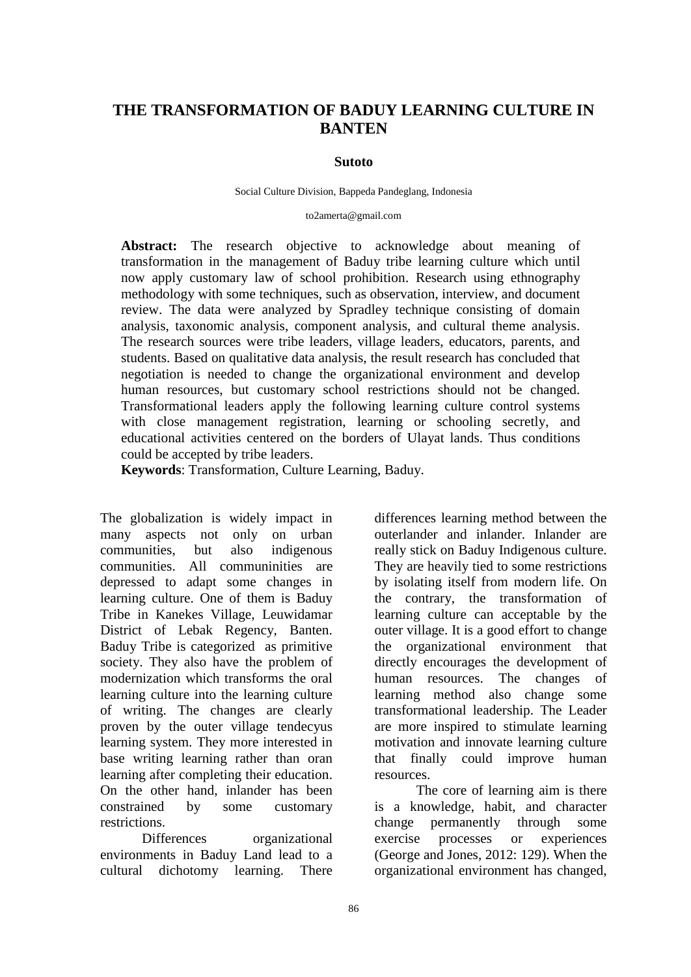# **THE TRANSFORMATION OF BADUY LEARNING CULTURE IN BANTEN**

#### **Sutoto**

#### Social Culture Division, Bappeda Pandeglang, Indonesia

#### to2amerta@gmail.com

**Abstract:** The research objective to acknowledge about meaning of transformation in the management of Baduy tribe learning culture which until now apply customary law of school prohibition. Research using ethnography methodology with some techniques, such as observation, interview, and document review. The data were analyzed by Spradley technique consisting of domain analysis, taxonomic analysis, component analysis, and cultural theme analysis. The research sources were tribe leaders, village leaders, educators, parents, and students. Based on qualitative data analysis, the result research has concluded that negotiation is needed to change the organizational environment and develop human resources, but customary school restrictions should not be changed. Transformational leaders apply the following learning culture control systems with close management registration, learning or schooling secretly, and educational activities centered on the borders of Ulayat lands. Thus conditions could be accepted by tribe leaders.

**Keywords**: Transformation, Culture Learning, Baduy.

The globalization is widely impact in many aspects not only on urban communities, but also indigenous communities. All communinities are depressed to adapt some changes in learning culture. One of them is Baduy Tribe in Kanekes Village, Leuwidamar District of Lebak Regency, Banten. Baduy Tribe is categorized as primitive society. They also have the problem of modernization which transforms the oral learning culture into the learning culture of writing. The changes are clearly proven by the outer village tendecyus learning system. They more interested in base writing learning rather than oran learning after completing their education. On the other hand, inlander has been constrained by some customary restrictions.

Differences organizational environments in Baduy Land lead to a cultural dichotomy learning. There

differences learning method between the outerlander and inlander. Inlander are really stick on Baduy Indigenous culture. They are heavily tied to some restrictions by isolating itself from modern life. On the contrary, the transformation of learning culture can acceptable by the outer village. It is a good effort to change the organizational environment that directly encourages the development of human resources. The changes of learning method also change some transformational leadership. The Leader are more inspired to stimulate learning motivation and innovate learning culture that finally could improve human resources.

The core of learning aim is there is a knowledge, habit, and character change permanently through some exercise processes or experiences (George and Jones, 2012: 129). When the organizational environment has changed,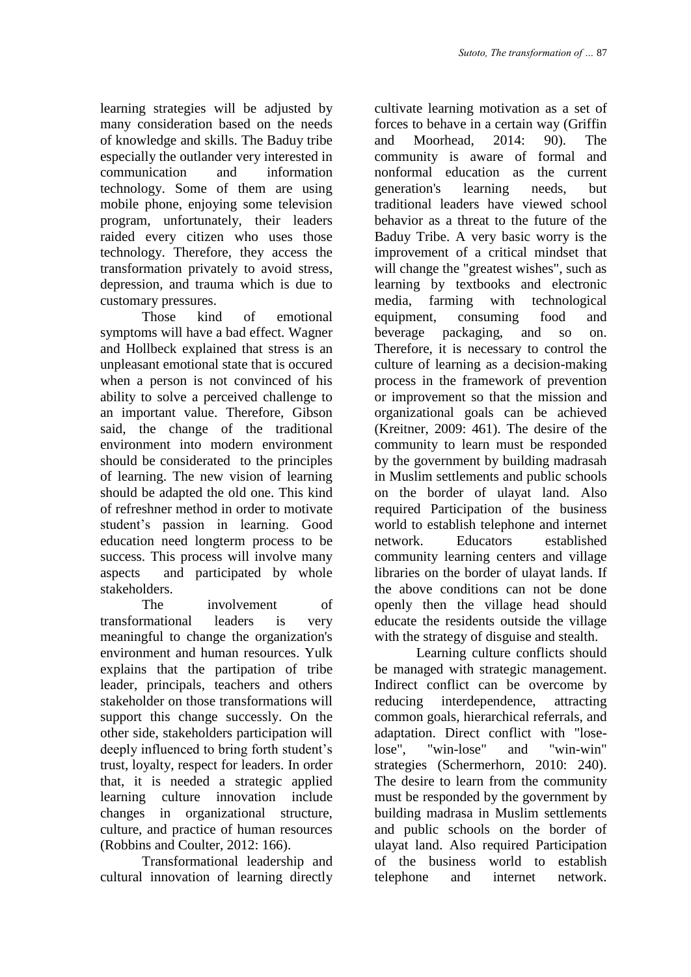learning strategies will be adjusted by many consideration based on the needs of knowledge and skills. The Baduy tribe especially the outlander very interested in communication and information technology. Some of them are using mobile phone, enjoying some television program, unfortunately, their leaders raided every citizen who uses those technology. Therefore, they access the transformation privately to avoid stress, depression, and trauma which is due to customary pressures.

Those kind of emotional symptoms will have a bad effect. Wagner and Hollbeck explained that stress is an unpleasant emotional state that is occured when a person is not convinced of his ability to solve a perceived challenge to an important value. Therefore, Gibson said, the change of the traditional environment into modern environment should be considerated to the principles of learning. The new vision of learning should be adapted the old one. This kind of refreshner method in order to motivate student's passion in learning. Good education need longterm process to be success. This process will involve many aspects and participated by whole stakeholders.

The involvement of transformational leaders is very meaningful to change the organization's environment and human resources. Yulk explains that the partipation of tribe leader, principals, teachers and others stakeholder on those transformations will support this change successly. On the other side, stakeholders participation will deeply influenced to bring forth student's trust, loyalty, respect for leaders. In order that, it is needed a strategic applied learning culture innovation include changes in organizational structure, culture, and practice of human resources (Robbins and Coulter, 2012: 166).

Transformational leadership and cultural innovation of learning directly cultivate learning motivation as a set of forces to behave in a certain way (Griffin and Moorhead, 2014: 90). The community is aware of formal and nonformal education as the current generation's learning needs, but traditional leaders have viewed school behavior as a threat to the future of the Baduy Tribe. A very basic worry is the improvement of a critical mindset that will change the "greatest wishes", such as learning by textbooks and electronic media, farming with technological equipment, consuming food and beverage packaging, and so on. Therefore, it is necessary to control the culture of learning as a decision-making process in the framework of prevention or improvement so that the mission and organizational goals can be achieved (Kreitner, 2009: 461). The desire of the community to learn must be responded by the government by building madrasah in Muslim settlements and public schools on the border of ulayat land. Also required Participation of the business world to establish telephone and internet network. Educators established community learning centers and village libraries on the border of ulayat lands. If the above conditions can not be done openly then the village head should educate the residents outside the village with the strategy of disguise and stealth.

Learning culture conflicts should be managed with strategic management. Indirect conflict can be overcome by reducing interdependence, attracting common goals, hierarchical referrals, and adaptation. Direct conflict with "loselose", "win-lose" and "win-win" strategies (Schermerhorn, 2010: 240). The desire to learn from the community must be responded by the government by building madrasa in Muslim settlements and public schools on the border of ulayat land. Also required Participation of the business world to establish telephone and internet network.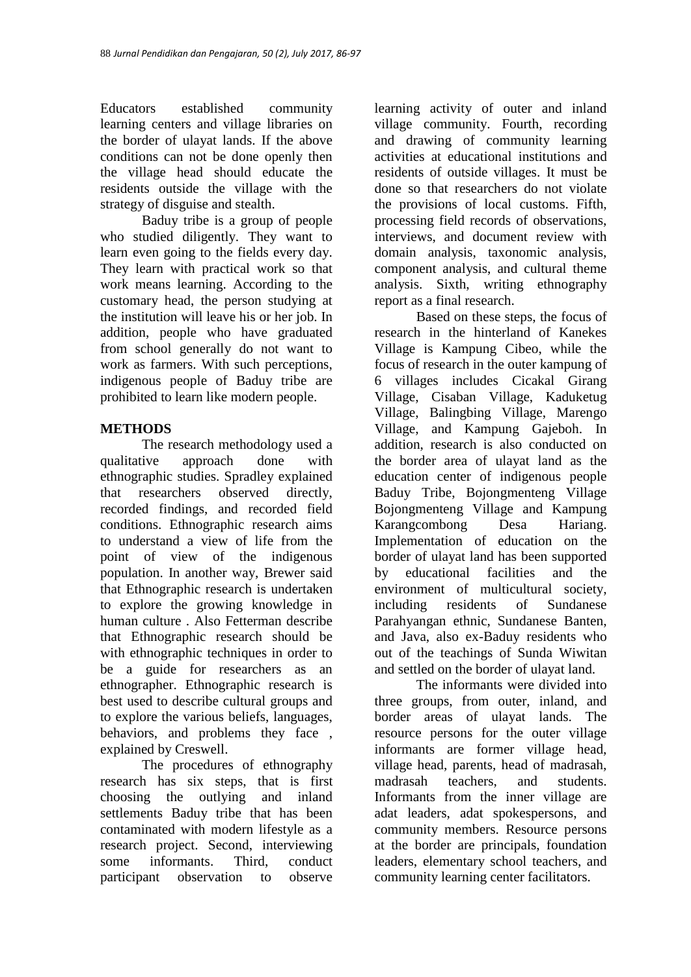Educators established community learning centers and village libraries on the border of ulayat lands. If the above conditions can not be done openly then the village head should educate the residents outside the village with the strategy of disguise and stealth.

Baduy tribe is a group of people who studied diligently. They want to learn even going to the fields every day. They learn with practical work so that work means learning. According to the customary head, the person studying at the institution will leave his or her job. In addition, people who have graduated from school generally do not want to work as farmers. With such perceptions, indigenous people of Baduy tribe are prohibited to learn like modern people.

# **METHODS**

The research methodology used a qualitative approach done with ethnographic studies. Spradley explained that researchers observed directly, recorded findings, and recorded field conditions. Ethnographic research aims to understand a view of life from the point of view of the indigenous population. In another way, Brewer said that Ethnographic research is undertaken to explore the growing knowledge in human culture . Also Fetterman describe that Ethnographic research should be with ethnographic techniques in order to be a guide for researchers as an ethnographer. Ethnographic research is best used to describe cultural groups and to explore the various beliefs, languages, behaviors, and problems they face , explained by Creswell.

The procedures of ethnography research has six steps, that is first choosing the outlying and inland settlements Baduy tribe that has been contaminated with modern lifestyle as a research project. Second, interviewing some informants. Third, conduct participant observation to observe

learning activity of outer and inland village community. Fourth, recording and drawing of community learning activities at educational institutions and residents of outside villages. It must be done so that researchers do not violate the provisions of local customs. Fifth, processing field records of observations, interviews, and document review with domain analysis, taxonomic analysis, component analysis, and cultural theme analysis. Sixth, writing ethnography report as a final research.

Based on these steps, the focus of research in the hinterland of Kanekes Village is Kampung Cibeo, while the focus of research in the outer kampung of 6 villages includes Cicakal Girang Village, Cisaban Village, Kaduketug Village, Balingbing Village, Marengo Village, and Kampung Gajeboh. In addition, research is also conducted on the border area of ulayat land as the education center of indigenous people Baduy Tribe, Bojongmenteng Village Bojongmenteng Village and Kampung Karangcombong Desa Hariang. Implementation of education on the border of ulayat land has been supported by educational facilities and the environment of multicultural society, including residents of Sundanese Parahyangan ethnic, Sundanese Banten, and Java, also ex-Baduy residents who out of the teachings of Sunda Wiwitan and settled on the border of ulayat land.

The informants were divided into three groups, from outer, inland, and border areas of ulayat lands. The resource persons for the outer village informants are former village head, village head, parents, head of madrasah, madrasah teachers, and students. Informants from the inner village are adat leaders, adat spokespersons, and community members. Resource persons at the border are principals, foundation leaders, elementary school teachers, and community learning center facilitators.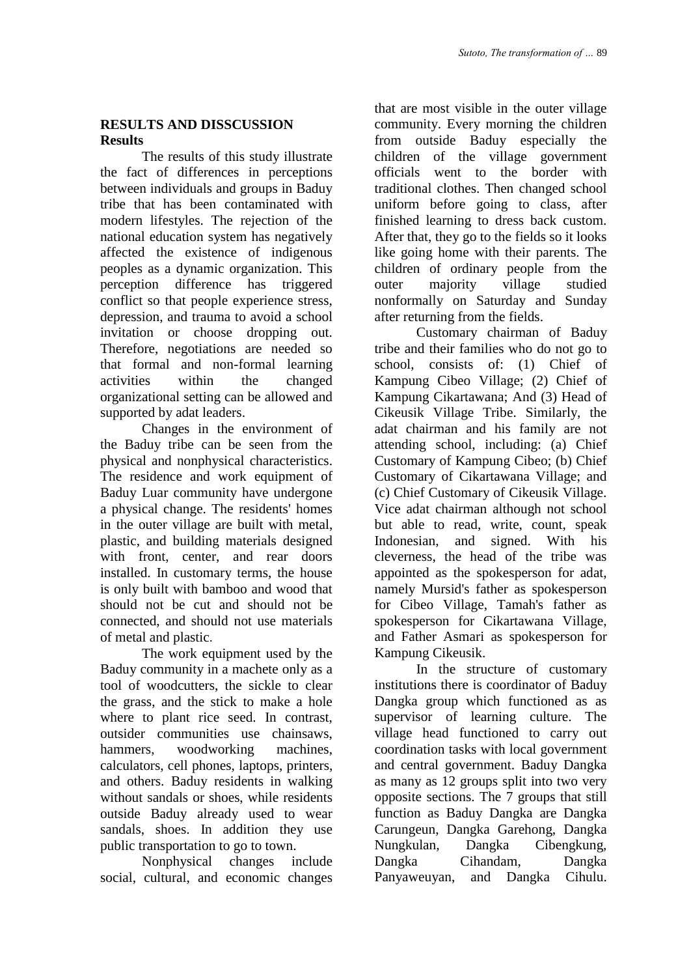## **RESULTS AND DISSCUSSION Results**

The results of this study illustrate the fact of differences in perceptions between individuals and groups in Baduy tribe that has been contaminated with modern lifestyles. The rejection of the national education system has negatively affected the existence of indigenous peoples as a dynamic organization. This perception difference has triggered conflict so that people experience stress, depression, and trauma to avoid a school invitation or choose dropping out. Therefore, negotiations are needed so that formal and non-formal learning activities within the changed organizational setting can be allowed and supported by adat leaders.

Changes in the environment of the Baduy tribe can be seen from the physical and nonphysical characteristics. The residence and work equipment of Baduy Luar community have undergone a physical change. The residents' homes in the outer village are built with metal, plastic, and building materials designed with front, center, and rear doors installed. In customary terms, the house is only built with bamboo and wood that should not be cut and should not be connected, and should not use materials of metal and plastic.

The work equipment used by the Baduy community in a machete only as a tool of woodcutters, the sickle to clear the grass, and the stick to make a hole where to plant rice seed. In contrast, outsider communities use chainsaws, hammers, woodworking machines, calculators, cell phones, laptops, printers, and others. Baduy residents in walking without sandals or shoes, while residents outside Baduy already used to wear sandals, shoes. In addition they use public transportation to go to town.

Nonphysical changes include social, cultural, and economic changes

that are most visible in the outer village community. Every morning the children from outside Baduy especially the children of the village government officials went to the border with traditional clothes. Then changed school uniform before going to class, after finished learning to dress back custom. After that, they go to the fields so it looks like going home with their parents. The children of ordinary people from the outer majority village studied nonformally on Saturday and Sunday after returning from the fields.

Customary chairman of Baduy tribe and their families who do not go to school, consists of: (1) Chief of Kampung Cibeo Village; (2) Chief of Kampung Cikartawana; And (3) Head of Cikeusik Village Tribe. Similarly, the adat chairman and his family are not attending school, including: (a) Chief Customary of Kampung Cibeo; (b) Chief Customary of Cikartawana Village; and (c) Chief Customary of Cikeusik Village. Vice adat chairman although not school but able to read, write, count, speak Indonesian, and signed. With his cleverness, the head of the tribe was appointed as the spokesperson for adat, namely Mursid's father as spokesperson for Cibeo Village, Tamah's father as spokesperson for Cikartawana Village, and Father Asmari as spokesperson for Kampung Cikeusik.

In the structure of customary institutions there is coordinator of Baduy Dangka group which functioned as as supervisor of learning culture. The village head functioned to carry out coordination tasks with local government and central government. Baduy Dangka as many as 12 groups split into two very opposite sections. The 7 groups that still function as Baduy Dangka are Dangka Carungeun, Dangka Garehong, Dangka Nungkulan, Dangka Cibengkung, Dangka Cihandam, Dangka Panyaweuyan, and Dangka Cihulu.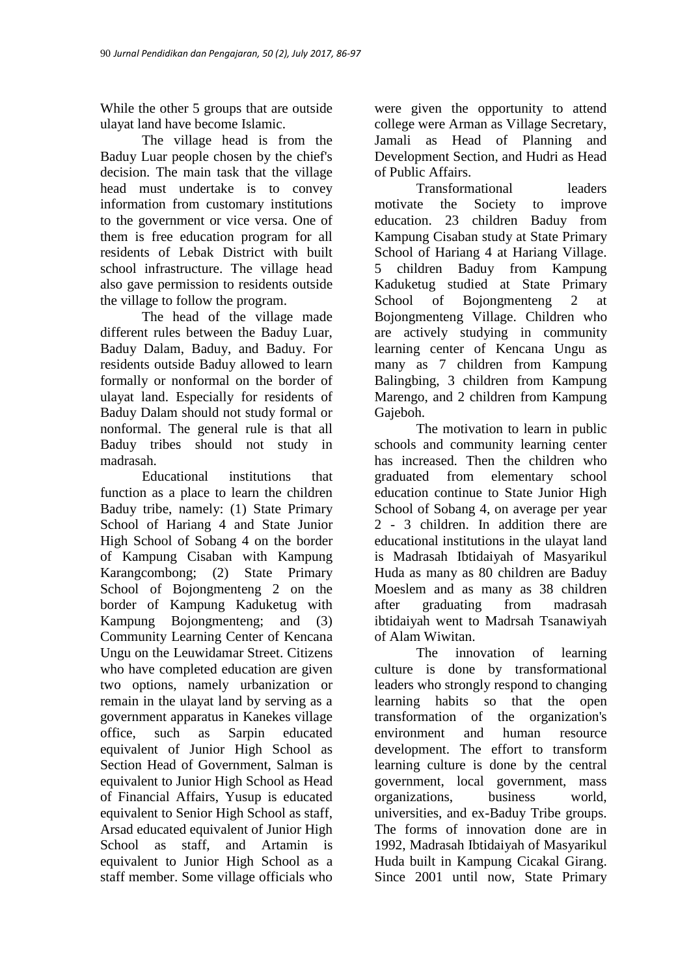While the other 5 groups that are outside ulayat land have become Islamic.

The village head is from the Baduy Luar people chosen by the chief's decision. The main task that the village head must undertake is to convey information from customary institutions to the government or vice versa. One of them is free education program for all residents of Lebak District with built school infrastructure. The village head also gave permission to residents outside the village to follow the program.

The head of the village made different rules between the Baduy Luar, Baduy Dalam, Baduy, and Baduy. For residents outside Baduy allowed to learn formally or nonformal on the border of ulayat land. Especially for residents of Baduy Dalam should not study formal or nonformal. The general rule is that all Baduy tribes should not study in madrasah.

Educational institutions that function as a place to learn the children Baduy tribe, namely: (1) State Primary School of Hariang 4 and State Junior High School of Sobang 4 on the border of Kampung Cisaban with Kampung Karangcombong; (2) State Primary School of Bojongmenteng 2 on the border of Kampung Kaduketug with Kampung Bojongmenteng; and (3) Community Learning Center of Kencana Ungu on the Leuwidamar Street. Citizens who have completed education are given two options, namely urbanization or remain in the ulayat land by serving as a government apparatus in Kanekes village office, such as Sarpin educated equivalent of Junior High School as Section Head of Government, Salman is equivalent to Junior High School as Head of Financial Affairs, Yusup is educated equivalent to Senior High School as staff, Arsad educated equivalent of Junior High School as staff, and Artamin is equivalent to Junior High School as a staff member. Some village officials who

were given the opportunity to attend college were Arman as Village Secretary, Jamali as Head of Planning and Development Section, and Hudri as Head of Public Affairs.

Transformational leaders motivate the Society to improve education. 23 children Baduy from Kampung Cisaban study at State Primary School of Hariang 4 at Hariang Village. 5 children Baduy from Kampung Kaduketug studied at State Primary School of Bojongmenteng 2 at Bojongmenteng Village. Children who are actively studying in community learning center of Kencana Ungu as many as 7 children from Kampung Balingbing, 3 children from Kampung Marengo, and 2 children from Kampung Gajeboh.

The motivation to learn in public schools and community learning center has increased. Then the children who graduated from elementary school education continue to State Junior High School of Sobang 4, on average per year 2 - 3 children. In addition there are educational institutions in the ulayat land is Madrasah Ibtidaiyah of Masyarikul Huda as many as 80 children are Baduy Moeslem and as many as 38 children after graduating from madrasah ibtidaiyah went to Madrsah Tsanawiyah of Alam Wiwitan.

The innovation of learning culture is done by transformational leaders who strongly respond to changing learning habits so that the open transformation of the organization's environment and human resource development. The effort to transform learning culture is done by the central government, local government, mass organizations, business world, universities, and ex-Baduy Tribe groups. The forms of innovation done are in 1992, Madrasah Ibtidaiyah of Masyarikul Huda built in Kampung Cicakal Girang. Since 2001 until now, State Primary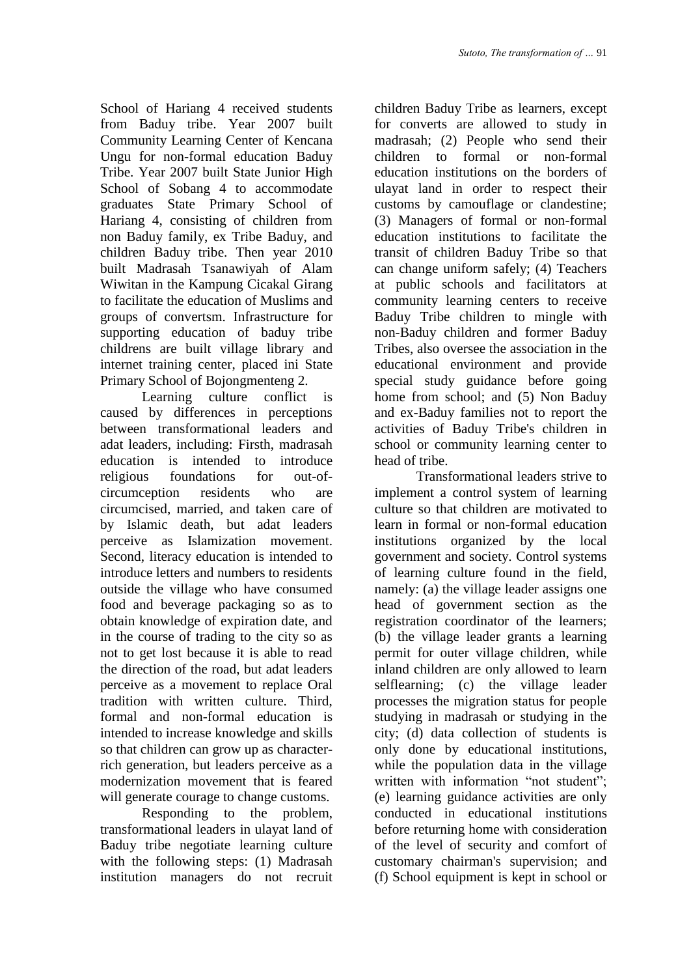School of Hariang 4 received students from Baduy tribe. Year 2007 built Community Learning Center of Kencana Ungu for non-formal education Baduy Tribe. Year 2007 built State Junior High School of Sobang 4 to accommodate graduates State Primary School of Hariang 4, consisting of children from non Baduy family, ex Tribe Baduy, and children Baduy tribe. Then year 2010 built Madrasah Tsanawiyah of Alam Wiwitan in the Kampung Cicakal Girang to facilitate the education of Muslims and groups of convertsm. Infrastructure for supporting education of baduy tribe childrens are built village library and internet training center, placed ini State Primary School of Bojongmenteng 2.

Learning culture conflict is caused by differences in perceptions between transformational leaders and adat leaders, including: Firsth, madrasah education is intended to introduce religious foundations for out-ofcircumception residents who are circumcised, married, and taken care of by Islamic death, but adat leaders perceive as Islamization movement. Second, literacy education is intended to introduce letters and numbers to residents outside the village who have consumed food and beverage packaging so as to obtain knowledge of expiration date, and in the course of trading to the city so as not to get lost because it is able to read the direction of the road, but adat leaders perceive as a movement to replace Oral tradition with written culture. Third, formal and non-formal education is intended to increase knowledge and skills so that children can grow up as characterrich generation, but leaders perceive as a modernization movement that is feared will generate courage to change customs.

Responding to the problem, transformational leaders in ulayat land of Baduy tribe negotiate learning culture with the following steps: (1) Madrasah institution managers do not recruit children Baduy Tribe as learners, except for converts are allowed to study in madrasah; (2) People who send their children to formal or non-formal education institutions on the borders of ulayat land in order to respect their customs by camouflage or clandestine; (3) Managers of formal or non-formal education institutions to facilitate the transit of children Baduy Tribe so that can change uniform safely; (4) Teachers at public schools and facilitators at community learning centers to receive Baduy Tribe children to mingle with non-Baduy children and former Baduy Tribes, also oversee the association in the educational environment and provide special study guidance before going home from school; and (5) Non Baduy and ex-Baduy families not to report the activities of Baduy Tribe's children in school or community learning center to head of tribe.

Transformational leaders strive to implement a control system of learning culture so that children are motivated to learn in formal or non-formal education institutions organized by the local government and society. Control systems of learning culture found in the field, namely: (a) the village leader assigns one head of government section as the registration coordinator of the learners; (b) the village leader grants a learning permit for outer village children, while inland children are only allowed to learn selflearning; (c) the village leader processes the migration status for people studying in madrasah or studying in the city; (d) data collection of students is only done by educational institutions, while the population data in the village written with information "not student"; (e) learning guidance activities are only conducted in educational institutions before returning home with consideration of the level of security and comfort of customary chairman's supervision; and (f) School equipment is kept in school or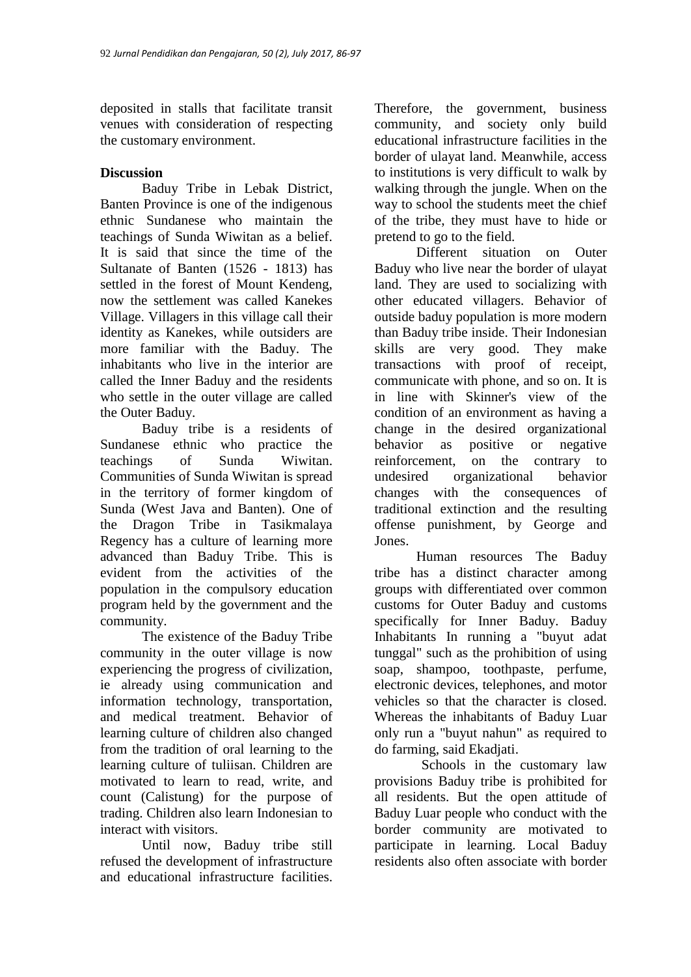deposited in stalls that facilitate transit venues with consideration of respecting the customary environment.

## **Discussion**

Baduy Tribe in Lebak District, Banten Province is one of the indigenous ethnic Sundanese who maintain the teachings of Sunda Wiwitan as a belief. It is said that since the time of the Sultanate of Banten (1526 - 1813) has settled in the forest of Mount Kendeng, now the settlement was called Kanekes Village. Villagers in this village call their identity as Kanekes, while outsiders are more familiar with the Baduy. The inhabitants who live in the interior are called the Inner Baduy and the residents who settle in the outer village are called the Outer Baduy.

Baduy tribe is a residents of Sundanese ethnic who practice the teachings of Sunda Wiwitan. Communities of Sunda Wiwitan is spread in the territory of former kingdom of Sunda (West Java and Banten). One of the Dragon Tribe in Tasikmalaya Regency has a culture of learning more advanced than Baduy Tribe. This is evident from the activities of the population in the compulsory education program held by the government and the community.

The existence of the Baduy Tribe community in the outer village is now experiencing the progress of civilization, ie already using communication and information technology, transportation, and medical treatment. Behavior of learning culture of children also changed from the tradition of oral learning to the learning culture of tuliisan. Children are motivated to learn to read, write, and count (Calistung) for the purpose of trading. Children also learn Indonesian to interact with visitors.

Until now, Baduy tribe still refused the development of infrastructure and educational infrastructure facilities.

Therefore, the government, business community, and society only build educational infrastructure facilities in the border of ulayat land. Meanwhile, access to institutions is very difficult to walk by walking through the jungle. When on the way to school the students meet the chief of the tribe, they must have to hide or pretend to go to the field.

Different situation on Outer Baduy who live near the border of ulayat land. They are used to socializing with other educated villagers. Behavior of outside baduy population is more modern than Baduy tribe inside. Their Indonesian skills are very good. They make transactions with proof of receipt, communicate with phone, and so on. It is in line with Skinner's view of the condition of an environment as having a change in the desired organizational behavior as positive or negative reinforcement, on the contrary to undesired organizational behavior changes with the consequences of traditional extinction and the resulting offense punishment, by George and Jones.

Human resources The Baduy tribe has a distinct character among groups with differentiated over common customs for Outer Baduy and customs specifically for Inner Baduy. Baduy Inhabitants In running a "buyut adat tunggal" such as the prohibition of using soap, shampoo, toothpaste, perfume, electronic devices, telephones, and motor vehicles so that the character is closed. Whereas the inhabitants of Baduy Luar only run a "buyut nahun" as required to do farming, said Ekadjati.

Schools in the customary law provisions Baduy tribe is prohibited for all residents. But the open attitude of Baduy Luar people who conduct with the border community are motivated to participate in learning. Local Baduy residents also often associate with border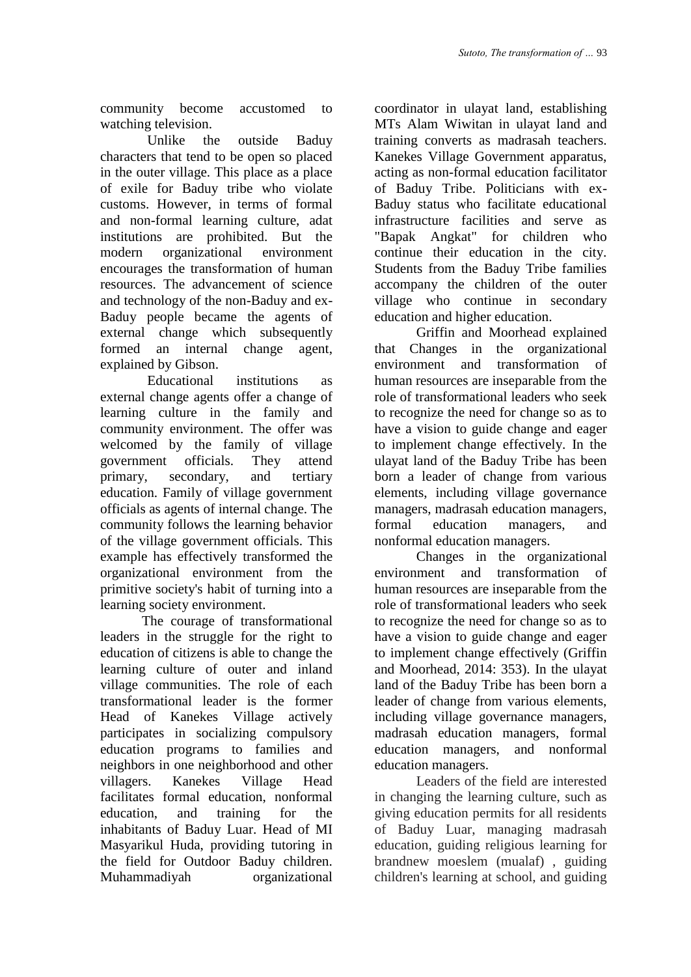community become accustomed to watching television.

Unlike the outside Baduy characters that tend to be open so placed in the outer village. This place as a place of exile for Baduy tribe who violate customs. However, in terms of formal and non-formal learning culture, adat institutions are prohibited. But the modern organizational environment encourages the transformation of human resources. The advancement of science and technology of the non-Baduy and ex-Baduy people became the agents of external change which subsequently formed an internal change agent, explained by Gibson.

Educational institutions as external change agents offer a change of learning culture in the family and community environment. The offer was welcomed by the family of village government officials. They attend primary, secondary, and tertiary education. Family of village government officials as agents of internal change. The community follows the learning behavior of the village government officials. This example has effectively transformed the organizational environment from the primitive society's habit of turning into a learning society environment.

The courage of transformational leaders in the struggle for the right to education of citizens is able to change the learning culture of outer and inland village communities. The role of each transformational leader is the former Head of Kanekes Village actively participates in socializing compulsory education programs to families and neighbors in one neighborhood and other villagers. Kanekes Village Head facilitates formal education, nonformal education, and training for the inhabitants of Baduy Luar. Head of MI Masyarikul Huda, providing tutoring in the field for Outdoor Baduy children. Muhammadiyah organizational

coordinator in ulayat land, establishing MTs Alam Wiwitan in ulayat land and training converts as madrasah teachers. Kanekes Village Government apparatus, acting as non-formal education facilitator of Baduy Tribe. Politicians with ex-Baduy status who facilitate educational infrastructure facilities and serve as "Bapak Angkat" for children who continue their education in the city. Students from the Baduy Tribe families accompany the children of the outer village who continue in secondary education and higher education.

Griffin and Moorhead explained that Changes in the organizational environment and transformation of human resources are inseparable from the role of transformational leaders who seek to recognize the need for change so as to have a vision to guide change and eager to implement change effectively. In the ulayat land of the Baduy Tribe has been born a leader of change from various elements, including village governance managers, madrasah education managers, formal education managers, and nonformal education managers.

Changes in the organizational environment and transformation of human resources are inseparable from the role of transformational leaders who seek to recognize the need for change so as to have a vision to guide change and eager to implement change effectively (Griffin and Moorhead, 2014: 353). In the ulayat land of the Baduy Tribe has been born a leader of change from various elements, including village governance managers, madrasah education managers, formal education managers, and nonformal education managers.

Leaders of the field are interested in changing the learning culture, such as giving education permits for all residents of Baduy Luar, managing madrasah education, guiding religious learning for brandnew moeslem (mualaf) , guiding children's learning at school, and guiding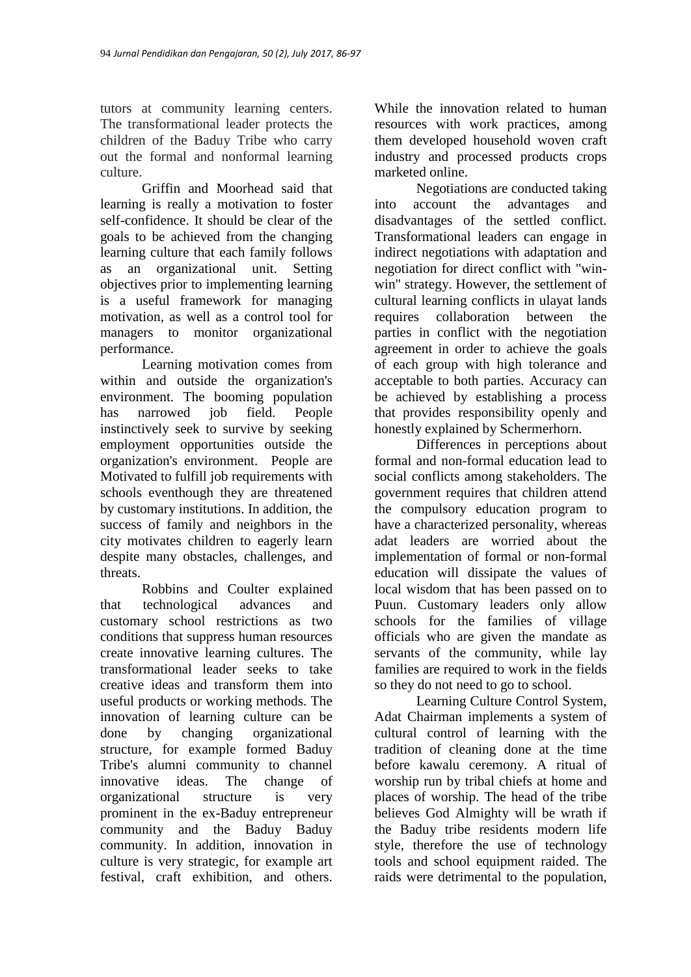tutors at community learning centers. The transformational leader protects the children of the Baduy Tribe who carry out the formal and nonformal learning culture.

Griffin and Moorhead said that learning is really a motivation to foster self-confidence. It should be clear of the goals to be achieved from the changing learning culture that each family follows as an organizational unit. Setting objectives prior to implementing learning is a useful framework for managing motivation, as well as a control tool for managers to monitor organizational performance.

Learning motivation comes from within and outside the organization's environment. The booming population has narrowed job field. People instinctively seek to survive by seeking employment opportunities outside the organization's environment. People are Motivated to fulfill job requirements with schools eventhough they are threatened by customary institutions. In addition, the success of family and neighbors in the city motivates children to eagerly learn despite many obstacles, challenges, and threats.

Robbins and Coulter explained that technological advances and customary school restrictions as two conditions that suppress human resources create innovative learning cultures. The transformational leader seeks to take creative ideas and transform them into useful products or working methods. The innovation of learning culture can be done by changing organizational structure, for example formed Baduy Tribe's alumni community to channel innovative ideas. The change of organizational structure is very prominent in the ex-Baduy entrepreneur community and the Baduy Baduy community. In addition, innovation in culture is very strategic, for example art festival, craft exhibition, and others.

While the innovation related to human resources with work practices, among them developed household woven craft industry and processed products crops marketed online.

Negotiations are conducted taking into account the advantages and disadvantages of the settled conflict. Transformational leaders can engage in indirect negotiations with adaptation and negotiation for direct conflict with "winwin" strategy. However, the settlement of cultural learning conflicts in ulayat lands requires collaboration between the parties in conflict with the negotiation agreement in order to achieve the goals of each group with high tolerance and acceptable to both parties. Accuracy can be achieved by establishing a process that provides responsibility openly and honestly explained by Schermerhorn.

Differences in perceptions about formal and non-formal education lead to social conflicts among stakeholders. The government requires that children attend the compulsory education program to have a characterized personality, whereas adat leaders are worried about the implementation of formal or non-formal education will dissipate the values of local wisdom that has been passed on to Puun. Customary leaders only allow schools for the families of village officials who are given the mandate as servants of the community, while lay families are required to work in the fields so they do not need to go to school.

Learning Culture Control System, Adat Chairman implements a system of cultural control of learning with the tradition of cleaning done at the time before kawalu ceremony. A ritual of worship run by tribal chiefs at home and places of worship. The head of the tribe believes God Almighty will be wrath if the Baduy tribe residents modern life style, therefore the use of technology tools and school equipment raided. The raids were detrimental to the population,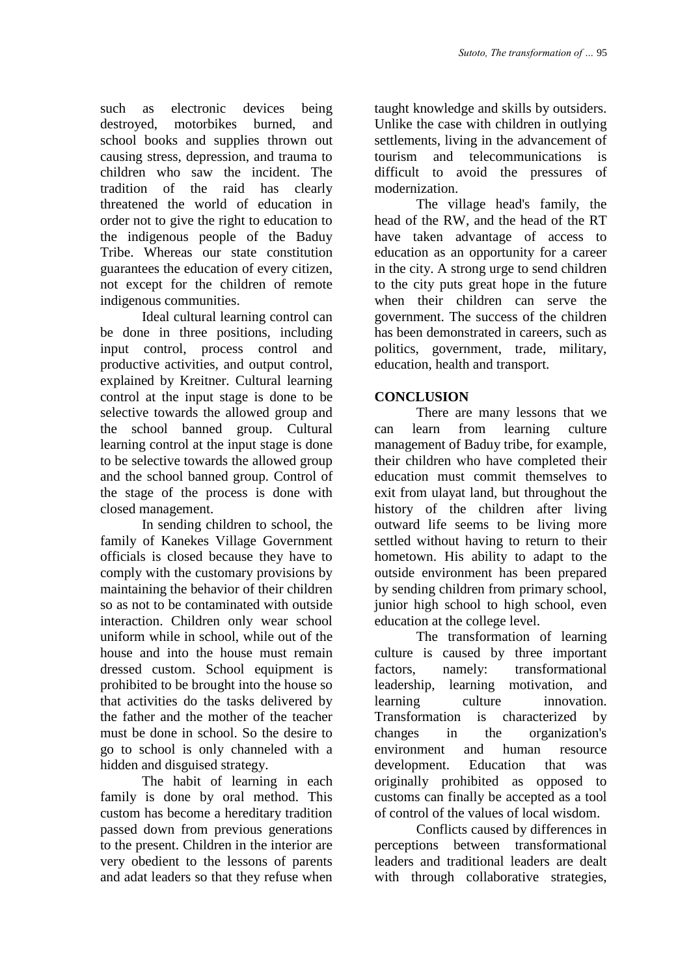such as electronic devices being destroyed, motorbikes burned, and school books and supplies thrown out causing stress, depression, and trauma to children who saw the incident. The tradition of the raid has clearly threatened the world of education in order not to give the right to education to the indigenous people of the Baduy Tribe. Whereas our state constitution guarantees the education of every citizen, not except for the children of remote indigenous communities.

Ideal cultural learning control can be done in three positions, including input control, process control and productive activities, and output control, explained by Kreitner. Cultural learning control at the input stage is done to be selective towards the allowed group and the school banned group. Cultural learning control at the input stage is done to be selective towards the allowed group and the school banned group. Control of the stage of the process is done with closed management.

In sending children to school, the family of Kanekes Village Government officials is closed because they have to comply with the customary provisions by maintaining the behavior of their children so as not to be contaminated with outside interaction. Children only wear school uniform while in school, while out of the house and into the house must remain dressed custom. School equipment is prohibited to be brought into the house so that activities do the tasks delivered by the father and the mother of the teacher must be done in school. So the desire to go to school is only channeled with a hidden and disguised strategy.

The habit of learning in each family is done by oral method. This custom has become a hereditary tradition passed down from previous generations to the present. Children in the interior are very obedient to the lessons of parents and adat leaders so that they refuse when

taught knowledge and skills by outsiders. Unlike the case with children in outlying settlements, living in the advancement of tourism and telecommunications is difficult to avoid the pressures of modernization.

The village head's family, the head of the RW, and the head of the RT have taken advantage of access to education as an opportunity for a career in the city. A strong urge to send children to the city puts great hope in the future when their children can serve the government. The success of the children has been demonstrated in careers, such as politics, government, trade, military, education, health and transport.

# **CONCLUSION**

There are many lessons that we can learn from learning culture management of Baduy tribe, for example, their children who have completed their education must commit themselves to exit from ulayat land, but throughout the history of the children after living outward life seems to be living more settled without having to return to their hometown. His ability to adapt to the outside environment has been prepared by sending children from primary school, junior high school to high school, even education at the college level.

The transformation of learning culture is caused by three important factors, namely: transformational leadership, learning motivation, and learning culture innovation. Transformation is characterized by changes in the organization's environment and human resource development. Education that was originally prohibited as opposed to customs can finally be accepted as a tool of control of the values of local wisdom.

Conflicts caused by differences in perceptions between transformational leaders and traditional leaders are dealt with through collaborative strategies,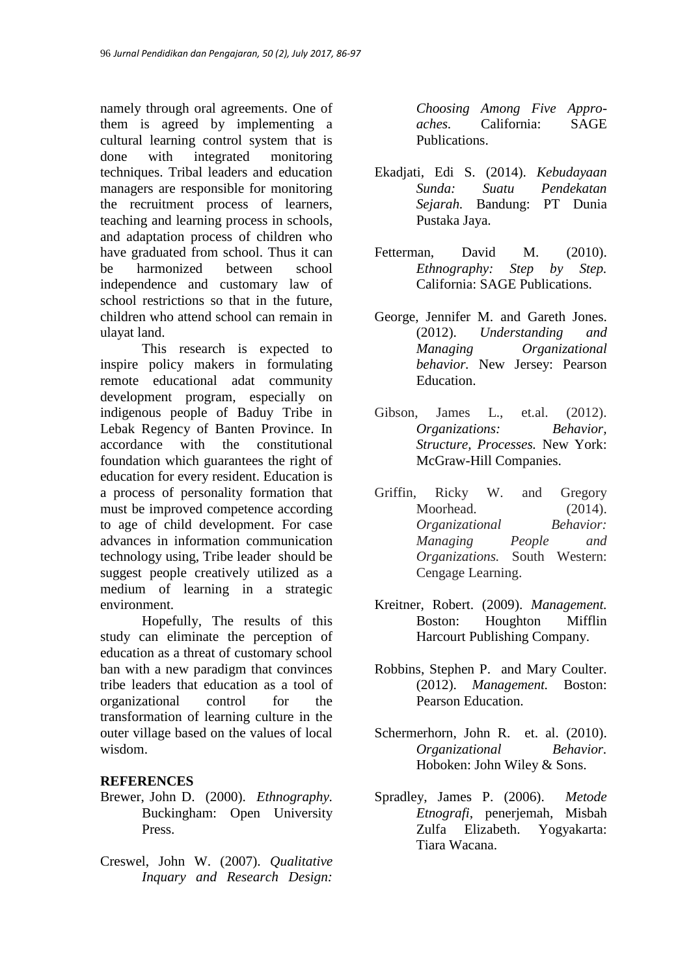namely through oral agreements. One of them is agreed by implementing a cultural learning control system that is done with integrated monitoring techniques. Tribal leaders and education managers are responsible for monitoring the recruitment process of learners, teaching and learning process in schools, and adaptation process of children who have graduated from school. Thus it can be harmonized between school independence and customary law of school restrictions so that in the future, children who attend school can remain in ulayat land.

This research is expected to inspire policy makers in formulating remote educational adat community development program, especially on indigenous people of Baduy Tribe in Lebak Regency of Banten Province. In accordance with the constitutional foundation which guarantees the right of education for every resident. Education is a process of personality formation that must be improved competence according to age of child development. For case advances in information communication technology using, Tribe leader should be suggest people creatively utilized as a medium of learning in a strategic environment.

Hopefully, The results of this study can eliminate the perception of education as a threat of customary school ban with a new paradigm that convinces tribe leaders that education as a tool of organizational control for the transformation of learning culture in the outer village based on the values of local wisdom.

## **REFERENCES**

- Brewer, John D. (2000). *Ethnography.* Buckingham: Open University Press.
- Creswel, John W. (2007). *Qualitative Inquary and Research Design:*

*Choosing Among Five Approaches.* California: SAGE Publications.

- Ekadjati, Edi S. (2014). *Kebudayaan Sunda: Suatu Pendekatan Sejarah.* Bandung: PT Dunia Pustaka Jaya.
- Fetterman, David M. (2010). *Ethnography: Step by Step.* California: SAGE Publications.
- George, Jennifer M. and Gareth Jones. (2012). *Understanding and Managing Organizational behavior.* New Jersey: Pearson Education.
- Gibson, James L., et.al. (2012). *Organizations: Behavior, Structure, Processes.* New York: McGraw-Hill Companies.
- Griffin, Ricky W. and Gregory Moorhead. (2014). *Organizational Behavior: Managing People and Organizations.* South Western: Cengage Learning.
- Kreitner, Robert. (2009). *Management.*  Boston: Houghton Mifflin Harcourt Publishing Company.
- Robbins, Stephen P. and Mary Coulter. (2012). *Management.* Boston: Pearson Education.
- Schermerhorn, John R. et. al. (2010). *Organizational Behavior.*  Hoboken: John Wiley & Sons.
- Spradley, James P. (2006). *Metode Etnografi*, penerjemah, Misbah Zulfa Elizabeth. Yogyakarta: Tiara Wacana.